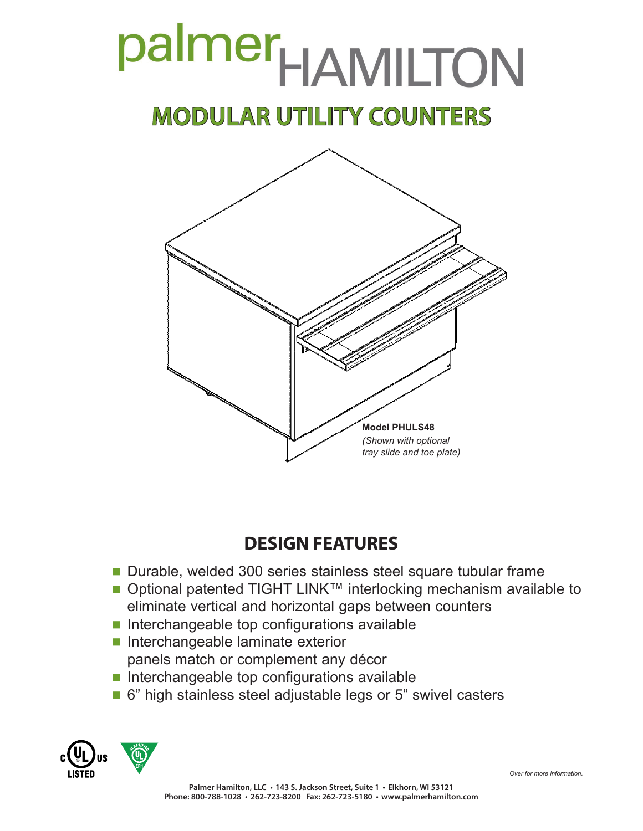# palmer<sub>HAMILTON</sub> **MODULAR UTILITY COUNTERS**



# **DESIGN FEATURES**

- Durable, welded 300 series stainless steel square tubular frame
- Optional patented TIGHT LINK™ interlocking mechanism available to eliminate vertical and horizontal gaps between counters
- $\blacksquare$  Interchangeable top configurations available
- Interchangeable laminate exterior
	- panels match or complement any décor
- $\blacksquare$  Interchangeable top configurations available
- 6" high stainless steel adjustable legs or 5" swivel casters



*Over for more information.*